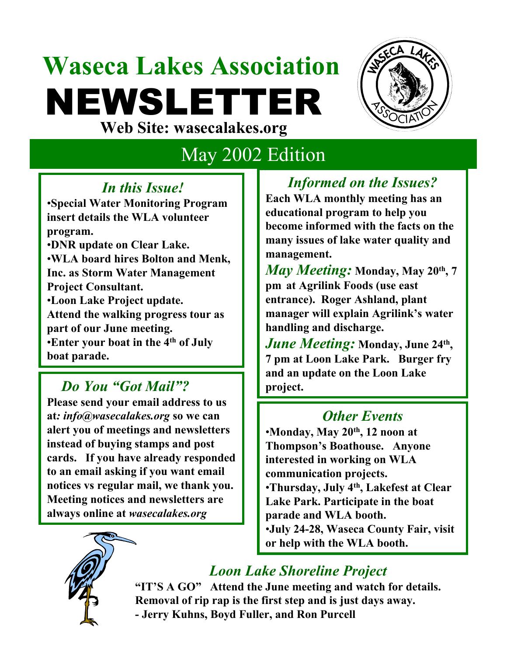# **Waseca Lakes Association** NEWSLETTER **Web Site: wasecalakes.org**



## May 2002 Edition

#### *In this Issue!*

•**Special Water Monitoring Program insert details the WLA volunteer program.** 

•**DNR update on Clear Lake.** •**WLA board hires Bolton and Menk, Inc. as Storm Water Management Project Consultant.**

•**Loon Lake Project update. Attend the walking progress tour as part of our June meeting.** •**Enter your boat in the 4th of July boat parade.**

*Do You "Got Mail"?*

**Please send your email address to us at***: info@wasecalakes.org* **so we can alert you of meetings and newsletters instead of buying stamps and post cards. If you have already responded to an email asking if you want email notices vs regular mail, we thank you. Meeting notices and newsletters are always online at** *wasecalakes.org* 

*Informed on the Issues?* **Each WLA monthly meeting has an educational program to help you become informed with the facts on the many issues of lake water quality and management.** 

*May Meeting:* **Monday, May 20th, 7 pm at Agrilink Foods (use east entrance). Roger Ashland, plant manager will explain Agrilink's water handling and discharge.**

*June Meeting:* **Monday, June 24th , 7 pm at Loon Lake Park. Burger fry and an update on the Loon Lake project.** 

#### *Other Events*

•**Monday, May 20th, 12 noon at Thompson's Boathouse. Anyone interested in working on WLA communication projects.** •**Thursday, July 4th , Lakefest at Clear Lake Park. Participate in the boat parade and WLA booth.**  •**July 24-28, Waseca County Fair, visit or help with the WLA booth.**

## *Loon Lake Shoreline Project*

**"IT'S A GO" Attend the June meeting and watch for details. Removal of rip rap is the first step and is just days away. - Jerry Kuhns, Boyd Fuller, and Ron Purcell**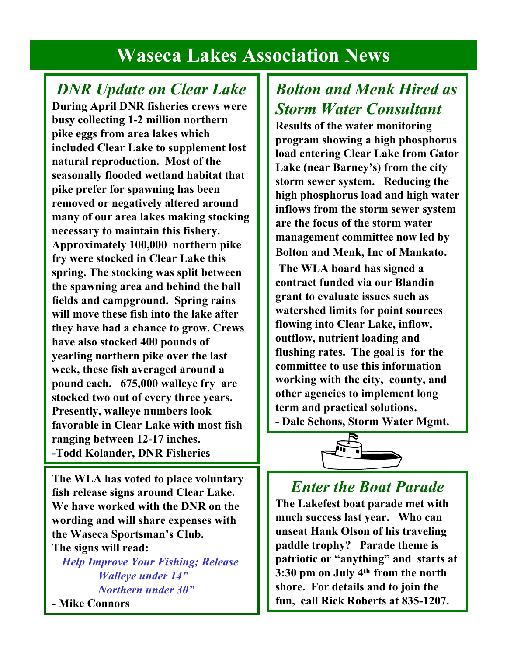## **Waseca Lakes Association News**

### *DNR Update on Clear Lake*

**During April DNR fisheries crews were busy collecting 1-2 million northern pike eggs from area lakes which included Clear Lake to supplement lost natural reproduction. Most of the seasonally flooded wetland habitat that pike prefer for spawning has been removed or negatively altered around many of our area lakes making stocking necessary to maintain this fishery. Approximately 100,000 northern pike fry were stocked in Clear Lake this spring. The stocking was split between the spawning area and behind the ball fields and campground. Spring rains will move these fish into the lake after they have had a chance to grow. Crews have also stocked 400 pounds of yearling northern pike over the last week, these fish averaged around a pound each. 675,000 walleye fry are stocked two out of every three years. Presently, walleye numbers look favorable in Clear Lake with most fish ranging between 12-17 inches. -Todd Kolander, DNR Fisheries**

**The WLA has voted to place voluntary fish release signs around Clear Lake. We have worked with the DNR on the wording and will share expenses with the Waseca Sportsman's Club. The signs will read:**

*Help Improve Your Fishing; Release Walleye under 14" Northern under 30"*

**- Mike Connors**

## *Bolton and Menk Hired as Storm Water Consultant*

**Results of the water monitoring program showing a high phosphorus load entering Clear Lake from Gator Lake (near Barney's) from the city storm sewer system. Reducing the high phosphorus load and high water inflows from the storm sewer system are the focus of the storm water management committee now led by Bolton and Menk, Inc of Mankato.** 

**The WLA board has signed a contract funded via our Blandin grant to evaluate issues such as watershed limits for point sources flowing into Clear Lake, inflow, outflow, nutrient loading and flushing rates. The goal is for the committee to use this information working with the city, county, and other agencies to implement long term and practical solutions. - Dale Schons, Storm Water Mgmt.**



#### *Enter the Boat Parade*

**The Lakefest boat parade met with much success last year. Who can unseat Hank Olson of his traveling paddle trophy? Parade theme is patriotic or "anything" and starts at 3:30 pm on July 4th from the north shore. For details and to join the fun, call Rick Roberts at 835-1207.**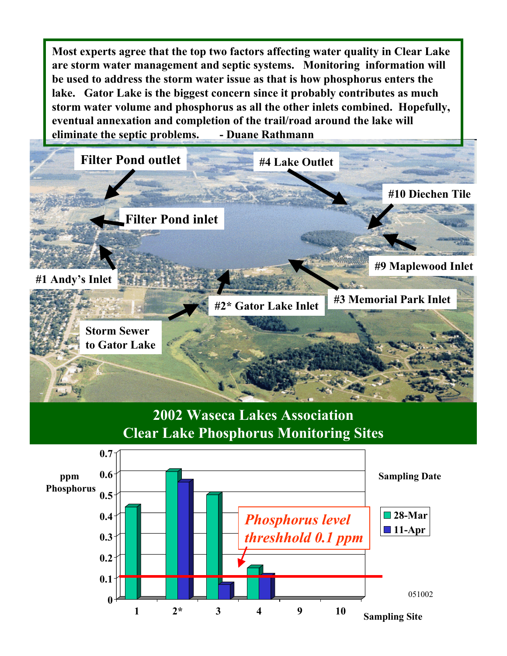**Most experts agree that the top two factors affecting water quality in Clear Lake are storm water management and septic systems. Monitoring information will be used to address the storm water issue as that is how phosphorus enters the lake. Gator Lake is the biggest concern since it probably contributes as much storm water volume and phosphorus as all the other inlets combined. Hopefully, eventual annexation and completion of the trail/road around the lake will eliminate the septic problems. - Duane Rathmann** 



**2002 Waseca Lakes Association Clear Lake Phosphorus Monitoring Sites**